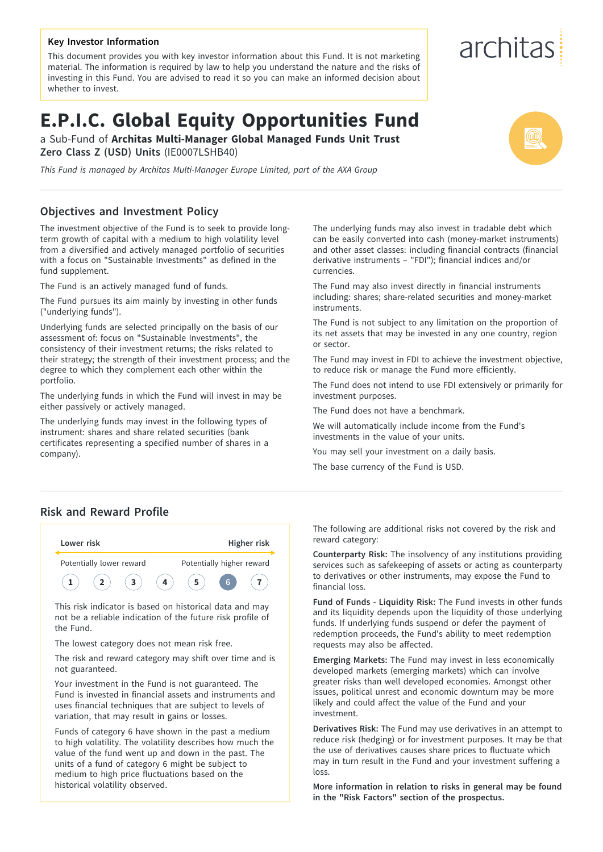#### **Key Investor Information**

This document provides you with key investor information about this Fund. It is not marketing material. The information is required by law to help you understand the nature and the risks of investing in this Fund. You are advised to read it so you can make an informed decision about whether to invest.

# **E.P.I.C. Global Equity Opportunities Fund**

a Sub-Fund of **Architas Multi-Manager Global Managed Funds Unit Trust Zero Class Z (USD) Units** (IE0007LSHB40)

*This Fund is managed by Architas Multi-Manager Europe Limited, part of the AXA Group*

### **Objectives and Investment Policy**

The investment objective of the Fund is to seek to provide longterm growth of capital with a medium to high volatility level from a diversified and actively managed portfolio of securities with a focus on "Sustainable Investments" as defined in the fund supplement.

The Fund is an actively managed fund of funds.

The Fund pursues its aim mainly by investing in other funds ("underlying funds").

Underlying funds are selected principally on the basis of our assessment of: focus on "Sustainable Investments", the consistency of their investment returns; the risks related to their strategy; the strength of their investment process; and the degree to which they complement each other within the portfolio.

The underlying funds in which the Fund will invest in may be either passively or actively managed.

The underlying funds may invest in the following types of instrument: shares and share related securities (bank certificates representing a specified number of shares in a company).

The underlying funds may also invest in tradable debt which can be easily converted into cash (money-market instruments) and other asset classes: including financial contracts (financial derivative instruments – "FDI"); financial indices and/or currencies.

The Fund may also invest directly in financial instruments including: shares; share-related securities and money-market instruments.

The Fund is not subject to any limitation on the proportion of its net assets that may be invested in any one country, region or sector.

The Fund may invest in FDI to achieve the investment objective, to reduce risk or manage the Fund more efficiently.

The Fund does not intend to use FDI extensively or primarily for investment purposes.

The Fund does not have a benchmark.

We will automatically include income from the Fund's investments in the value of your units.

You may sell your investment on a daily basis.

The base currency of the Fund is USD.

#### **Risk and Reward Profile**



the Fund.

The lowest category does not mean risk free.

The risk and reward category may shift over time and is not guaranteed.

Your investment in the Fund is not guaranteed. The Fund is invested in financial assets and instruments and uses financial techniques that are subject to levels of variation, that may result in gains or losses.

Funds of category 6 have shown in the past a medium to high volatility. The volatility describes how much the value of the fund went up and down in the past. The units of a fund of category 6 might be subject to medium to high price fluctuations based on the historical volatility observed.

The following are additional risks not covered by the risk and reward category:

**Counterparty Risk:** The insolvency of any institutions providing services such as safekeeping of assets or acting as counterparty to derivatives or other instruments, may expose the Fund to financial loss.

**Fund of Funds - Liquidity Risk:** The Fund invests in other funds and its liquidity depends upon the liquidity of those underlying funds. If underlying funds suspend or defer the payment of redemption proceeds, the Fund's ability to meet redemption requests may also be affected.

**Emerging Markets:** The Fund may invest in less economically developed markets (emerging markets) which can involve greater risks than well developed economies. Amongst other issues, political unrest and economic downturn may be more likely and could affect the value of the Fund and your investment.

**Derivatives Risk:** The Fund may use derivatives in an attempt to reduce risk (hedging) or for investment purposes. It may be that the use of derivatives causes share prices to fluctuate which may in turn result in the Fund and your investment suffering a loss.

**More information in relation to risks in general may be found in the "Risk Factors" section of the prospectus.**

# architas